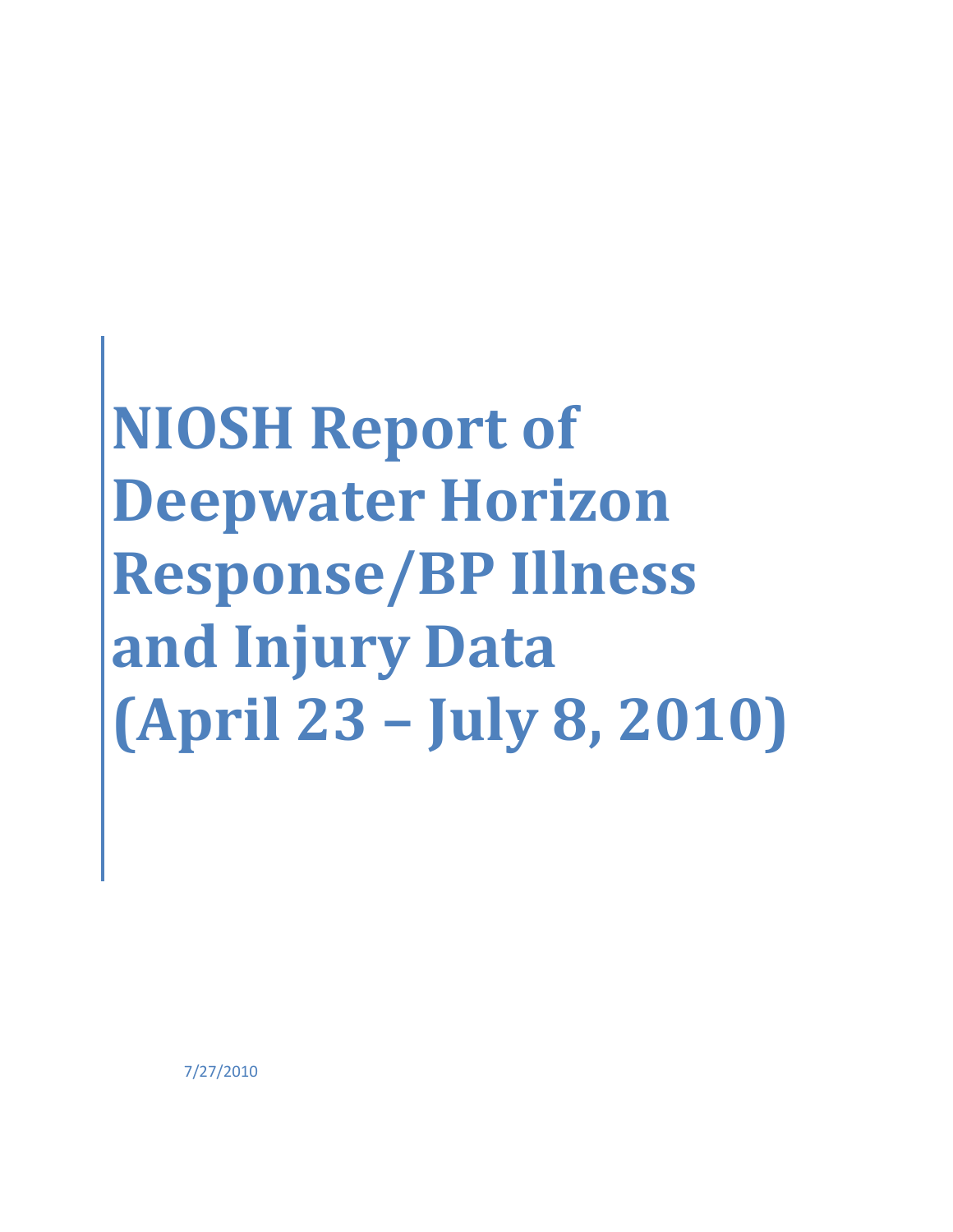# **NIOSH Report of Deepwater Horizon Response/BP Illness and Injury Data (April 23 – July 8, 2010)**

7/27/2010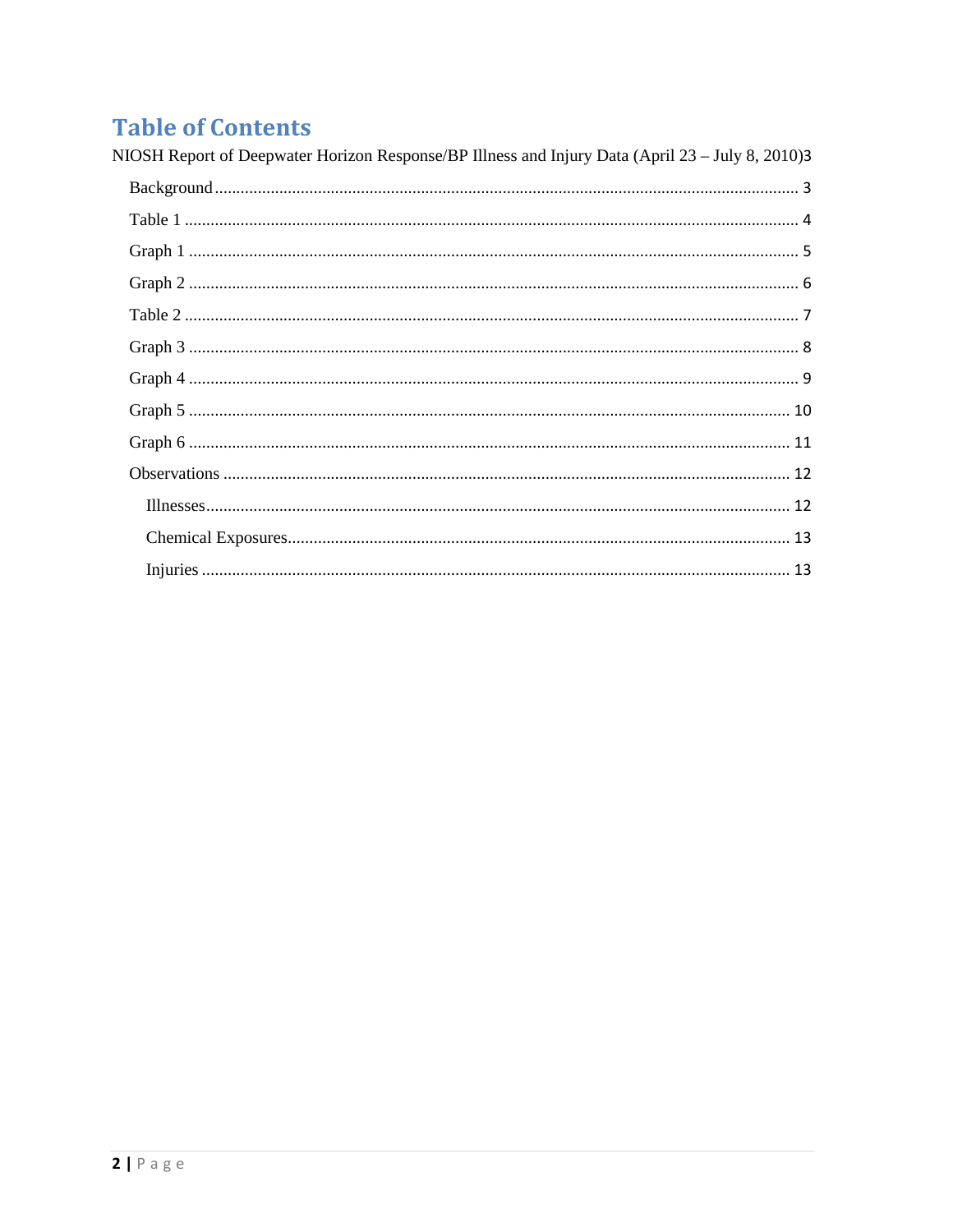## **Table of Contents**

<span id="page-1-0"></span>

| NIOSH Report of Deepwater Horizon Response/BP Illness and Injury Data (April 23 – July 8, 2010)3 |
|--------------------------------------------------------------------------------------------------|
|                                                                                                  |
|                                                                                                  |
|                                                                                                  |
|                                                                                                  |
|                                                                                                  |
|                                                                                                  |
|                                                                                                  |
|                                                                                                  |
|                                                                                                  |
|                                                                                                  |
|                                                                                                  |
|                                                                                                  |
|                                                                                                  |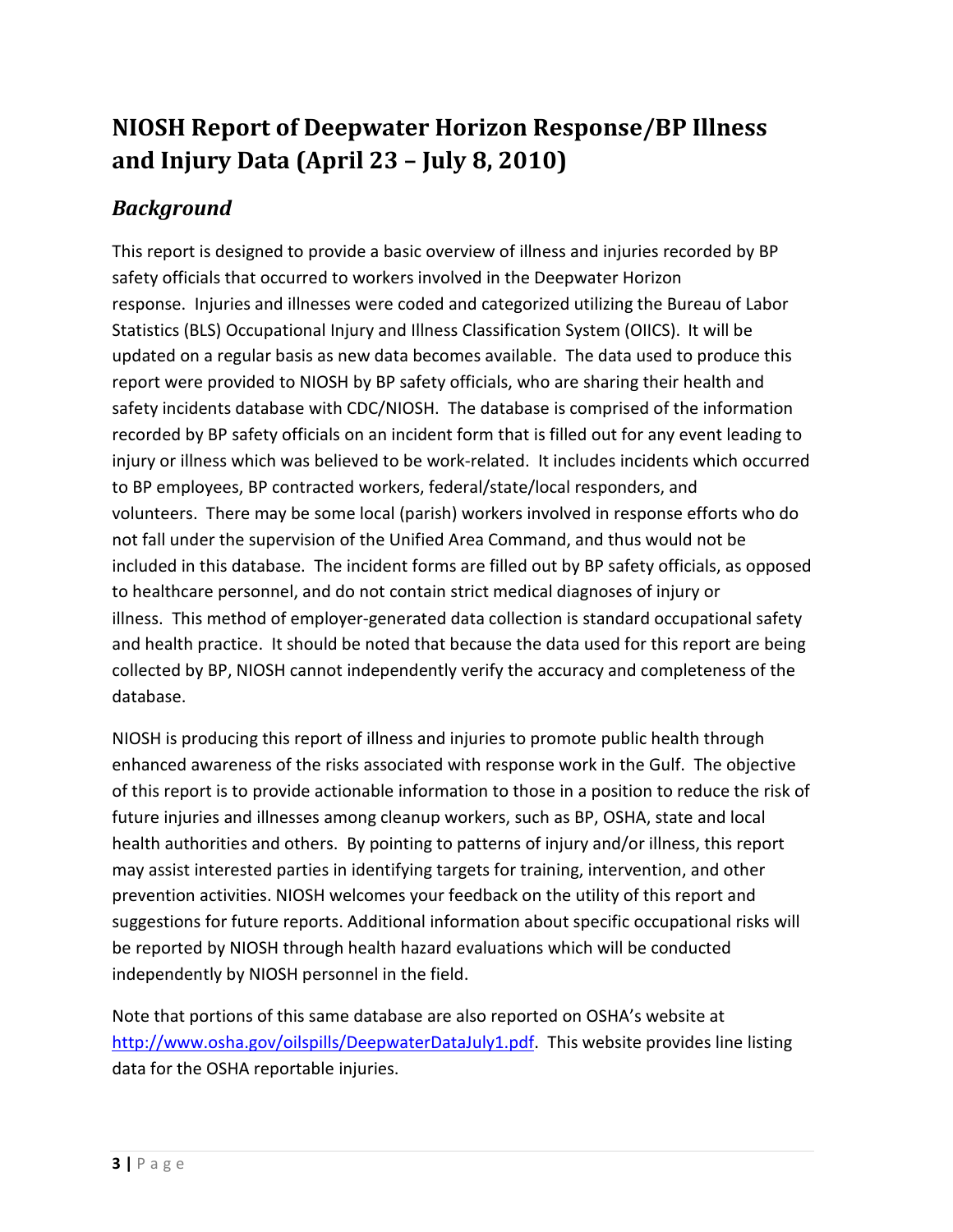## **NIOSH Report of Deepwater Horizon Response/BP Illness and Injury Data (April 23 – July 8, 2010)**

## <span id="page-2-0"></span>*Background*

This report is designed to provide a basic overview of illness and injuries recorded by BP safety officials that occurred to workers involved in the Deepwater Horizon response. Injuries and illnesses were coded and categorized utilizing the Bureau of Labor Statistics (BLS) Occupational Injury and Illness Classification System (OIICS). It will be updated on a regular basis as new data becomes available. The data used to produce this report were provided to NIOSH by BP safety officials, who are sharing their health and safety incidents database with CDC/NIOSH. The database is comprised of the information recorded by BP safety officials on an incident form that is filled out for any event leading to injury or illness which was believed to be work-related. It includes incidents which occurred to BP employees, BP contracted workers, federal/state/local responders, and volunteers. There may be some local (parish) workers involved in response efforts who do not fall under the supervision of the Unified Area Command, and thus would not be included in this database. The incident forms are filled out by BP safety officials, as opposed to healthcare personnel, and do not contain strict medical diagnoses of injury or illness. This method of employer-generated data collection is standard occupational safety and health practice. It should be noted that because the data used for this report are being collected by BP, NIOSH cannot independently verify the accuracy and completeness of the database.

NIOSH is producing this report of illness and injuries to promote public health through enhanced awareness of the risks associated with response work in the Gulf. The objective of this report is to provide actionable information to those in a position to reduce the risk of future injuries and illnesses among cleanup workers, such as BP, OSHA, state and local health authorities and others. By pointing to patterns of injury and/or illness, this report may assist interested parties in identifying targets for training, intervention, and other prevention activities. NIOSH welcomes your feedback on the utility of this report and suggestions for future reports. Additional information about specific occupational risks will be reported by NIOSH through health hazard evaluations which will be conducted independently by NIOSH personnel in the field.

Note that portions of this same database are also reported on OSHA's website at [http://www.osha.gov/oilspills/DeepwaterDataJuly1.pdf.](http://www.osha.gov/oilspills/DeepwaterDataJuly1.pdf) This website provides line listing data for the OSHA reportable injuries.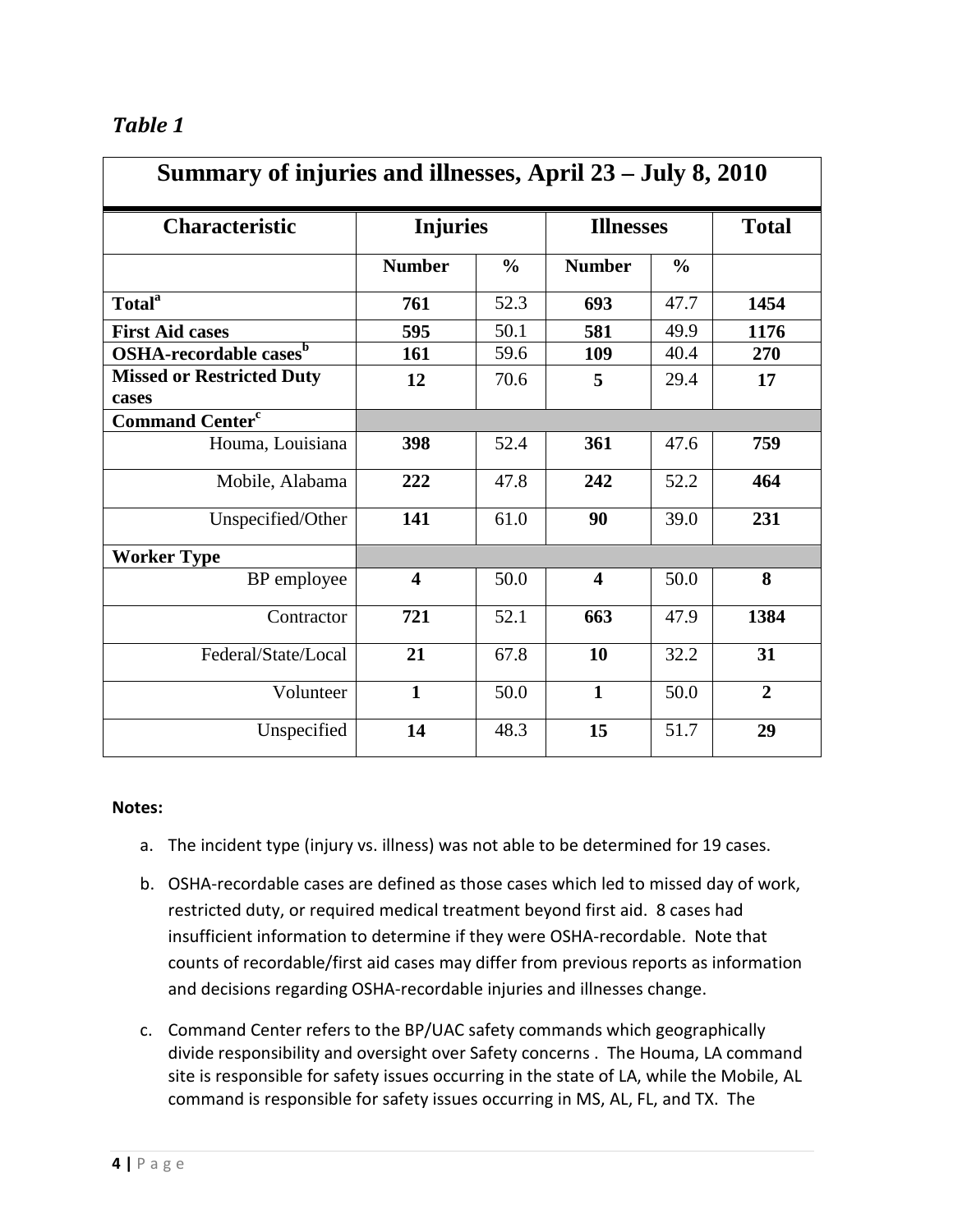<span id="page-3-0"></span>

| <b>Table</b> |  |
|--------------|--|
|--------------|--|

| Summary of injuries and illnesses, April 23 - July 8, 2010 |                         |               |                         |               |                |
|------------------------------------------------------------|-------------------------|---------------|-------------------------|---------------|----------------|
| <b>Characteristic</b>                                      | <b>Injuries</b>         |               | <b>Illnesses</b>        |               | <b>Total</b>   |
|                                                            | <b>Number</b>           | $\frac{0}{0}$ | <b>Number</b>           | $\frac{6}{6}$ |                |
| <b>Total</b> <sup>a</sup>                                  | 761                     | 52.3          | 693                     | 47.7          | 1454           |
| <b>First Aid cases</b>                                     | 595                     | 50.1          | 581                     | 49.9          | 1176           |
| OSHA-recordable cases <sup>b</sup>                         | 161                     | 59.6          | 109                     | 40.4          | 270            |
| <b>Missed or Restricted Duty</b><br>cases                  | 12                      | 70.6          | 5                       | 29.4          | 17             |
| <b>Command Center<sup>c</sup></b>                          |                         |               |                         |               |                |
| Houma, Louisiana                                           | 398                     | 52.4          | 361                     | 47.6          | 759            |
| Mobile, Alabama                                            | 222                     | 47.8          | 242                     | 52.2          | 464            |
| Unspecified/Other                                          | 141                     | 61.0          | 90                      | 39.0          | 231            |
| <b>Worker Type</b>                                         |                         |               |                         |               |                |
| BP employee                                                | $\overline{\mathbf{4}}$ | 50.0          | $\overline{\mathbf{4}}$ | 50.0          | 8              |
| Contractor                                                 | 721                     | 52.1          | 663                     | 47.9          | 1384           |
| Federal/State/Local                                        | 21                      | 67.8          | 10                      | 32.2          | 31             |
| Volunteer                                                  | $\mathbf{1}$            | 50.0          | $\mathbf{1}$            | 50.0          | $\overline{2}$ |
| Unspecified                                                | 14                      | 48.3          | 15                      | 51.7          | 29             |

- a. The incident type (injury vs. illness) was not able to be determined for 19 cases.
- b. OSHA-recordable cases are defined as those cases which led to missed day of work, restricted duty, or required medical treatment beyond first aid. 8 cases had insufficient information to determine if they were OSHA-recordable. Note that counts of recordable/first aid cases may differ from previous reports as information and decisions regarding OSHA-recordable injuries and illnesses change.
- c. Command Center refers to the BP/UAC safety commands which geographically divide responsibility and oversight over Safety concerns . The Houma, LA command site is responsible for safety issues occurring in the state of LA, while the Mobile, AL command is responsible for safety issues occurring in MS, AL, FL, and TX. The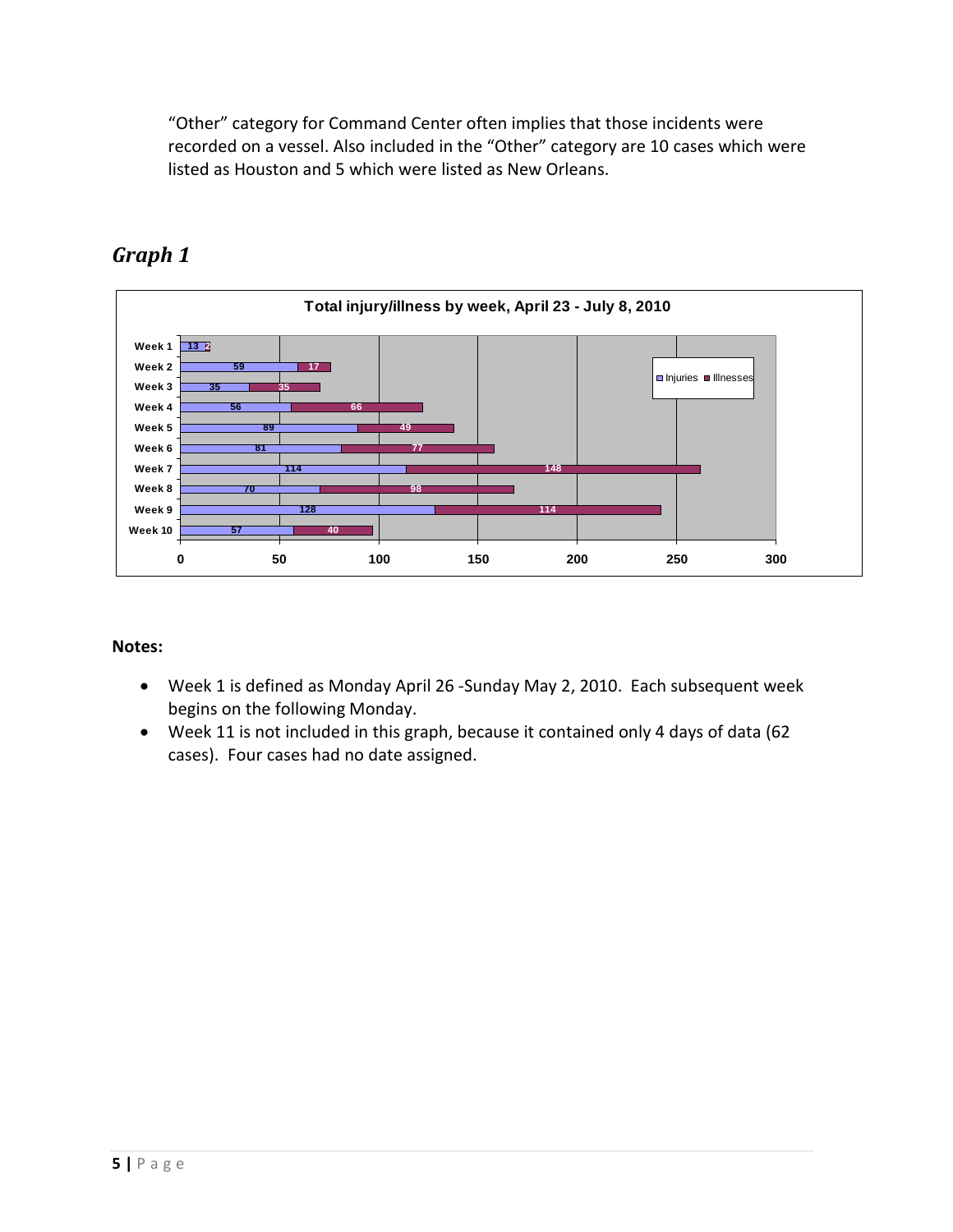"Other" category for Command Center often implies that those incidents were recorded on a vessel. Also included in the "Other" category are 10 cases which were listed as Houston and 5 which were listed as New Orleans.



## <span id="page-4-0"></span>*Graph 1*

- Week 1 is defined as Monday April 26 -Sunday May 2, 2010. Each subsequent week begins on the following Monday.
- Week 11 is not included in this graph, because it contained only 4 days of data (62 cases). Four cases had no date assigned.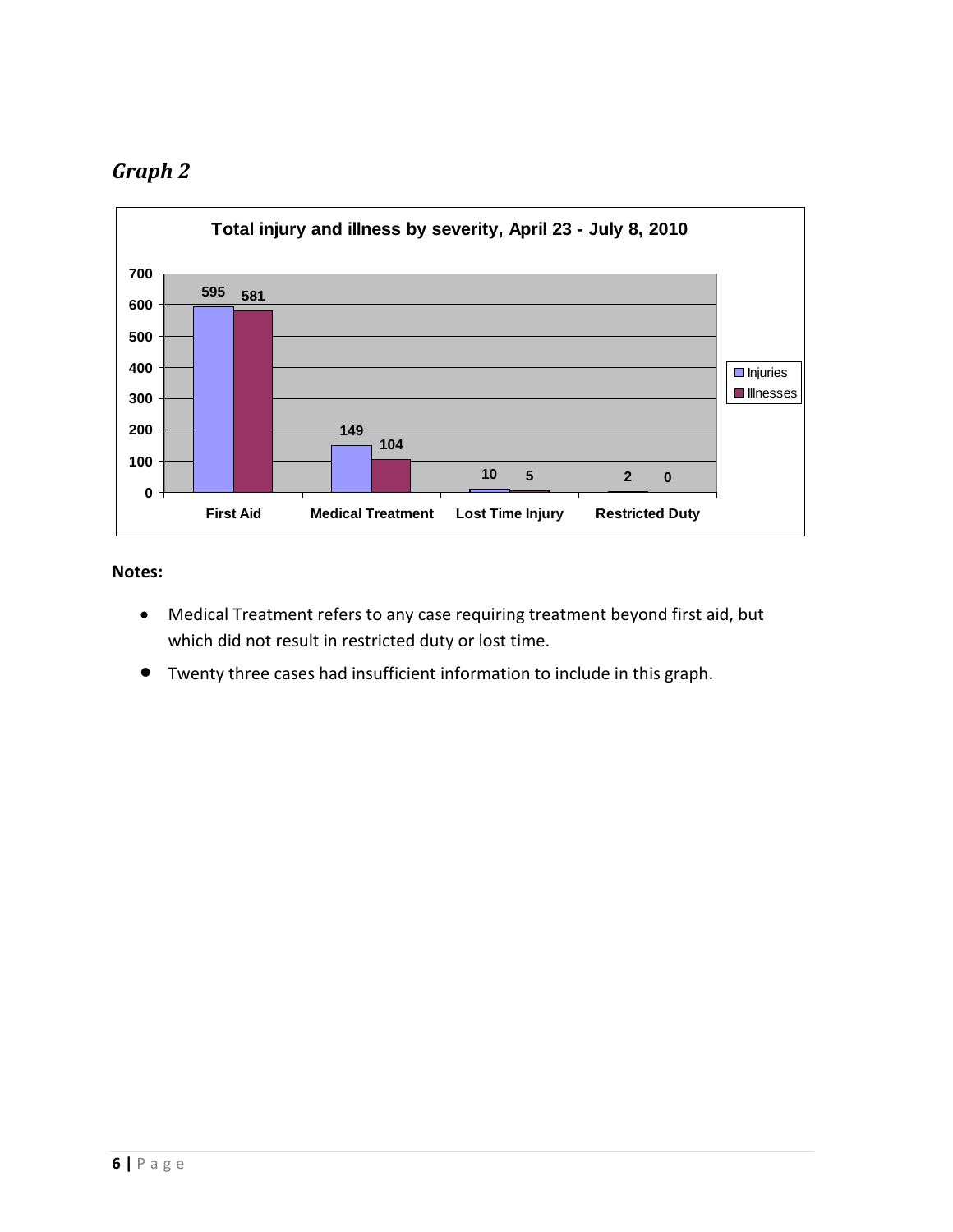## <span id="page-5-0"></span>*Graph 2*



- Medical Treatment refers to any case requiring treatment beyond first aid, but which did not result in restricted duty or lost time.
- <span id="page-5-1"></span>• Twenty three cases had insufficient information to include in this graph.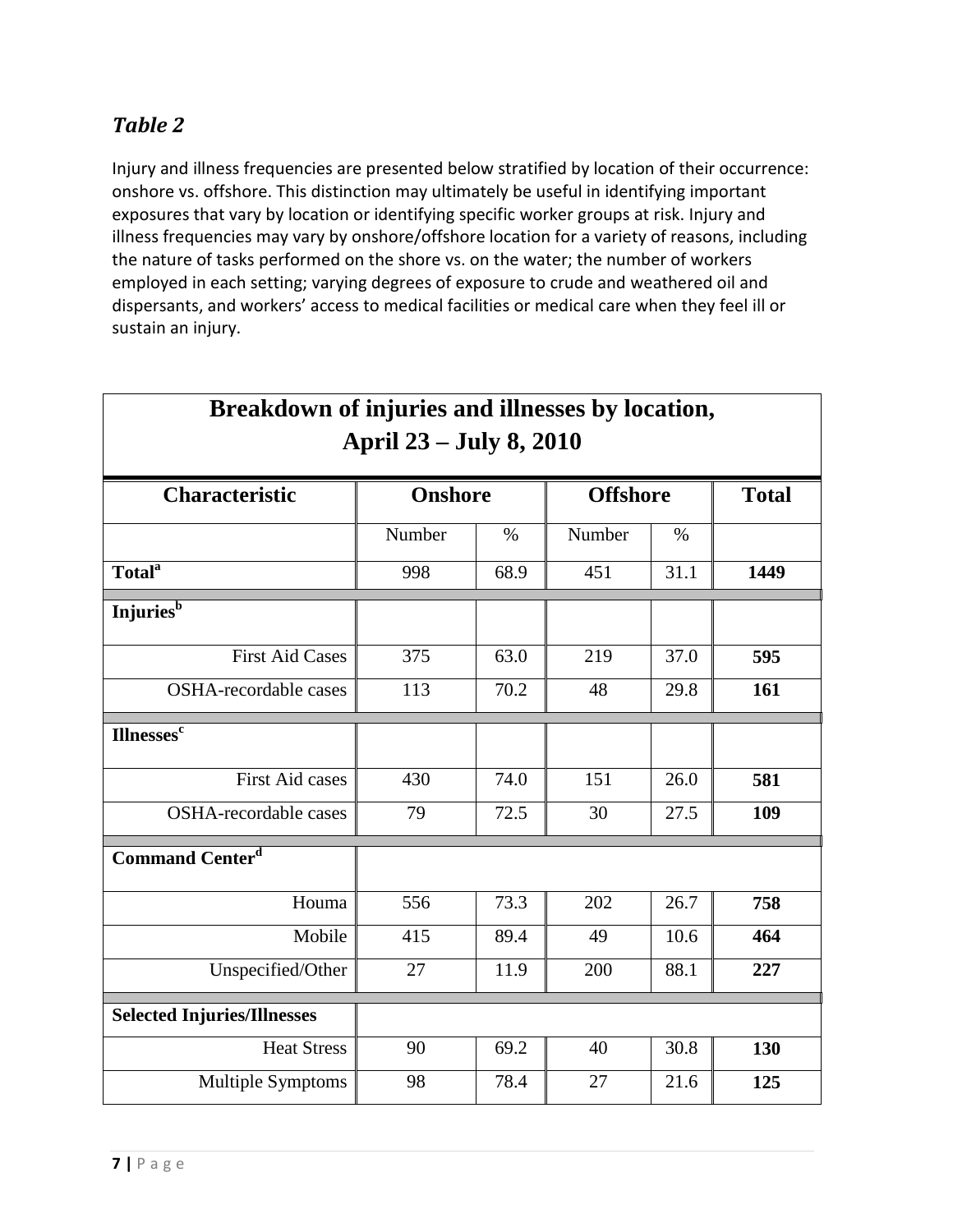## *Table 2*

Injury and illness frequencies are presented below stratified by location of their occurrence: onshore vs. offshore. This distinction may ultimately be useful in identifying important exposures that vary by location or identifying specific worker groups at risk. Injury and illness frequencies may vary by onshore/offshore location for a variety of reasons, including the nature of tasks performed on the shore vs. on the water; the number of workers employed in each setting; varying degrees of exposure to crude and weathered oil and dispersants, and workers' access to medical facilities or medical care when they feel ill or sustain an injury.

| ргсакиомн ог нуштез ани нисээсэ ру юсанон,<br><b>April 23 – July 8, 2010</b> |                |      |                 |      |              |
|------------------------------------------------------------------------------|----------------|------|-----------------|------|--------------|
| <b>Characteristic</b>                                                        | <b>Onshore</b> |      | <b>Offshore</b> |      | <b>Total</b> |
|                                                                              | Number         | $\%$ | Number          | $\%$ |              |
| Total <sup>a</sup>                                                           | 998            | 68.9 | 451             | 31.1 | 1449         |
| Injuries <sup>b</sup>                                                        |                |      |                 |      |              |
| <b>First Aid Cases</b>                                                       | 375            | 63.0 | 219             | 37.0 | 595          |
| <b>OSHA-recordable cases</b>                                                 | 113            | 70.2 | 48              | 29.8 | 161          |
| <b>Illnesses<sup>c</sup></b>                                                 |                |      |                 |      |              |
| <b>First Aid cases</b>                                                       | 430            | 74.0 | 151             | 26.0 | 581          |
| OSHA-recordable cases                                                        | 79             | 72.5 | 30              | 27.5 | 109          |
| <b>Command Centerd</b>                                                       |                |      |                 |      |              |
| Houma                                                                        | 556            | 73.3 | 202             | 26.7 | 758          |
| Mobile                                                                       | 415            | 89.4 | 49              | 10.6 | 464          |
| Unspecified/Other                                                            | 27             | 11.9 | 200             | 88.1 | 227          |
| <b>Selected Injuries/Illnesses</b>                                           |                |      |                 |      |              |
| <b>Heat Stress</b>                                                           | 90             | 69.2 | 40              | 30.8 | 130          |
| Multiple Symptoms                                                            | 98             | 78.4 | 27              | 21.6 | 125          |

## **Breakdown of injuries and illnesses by location,**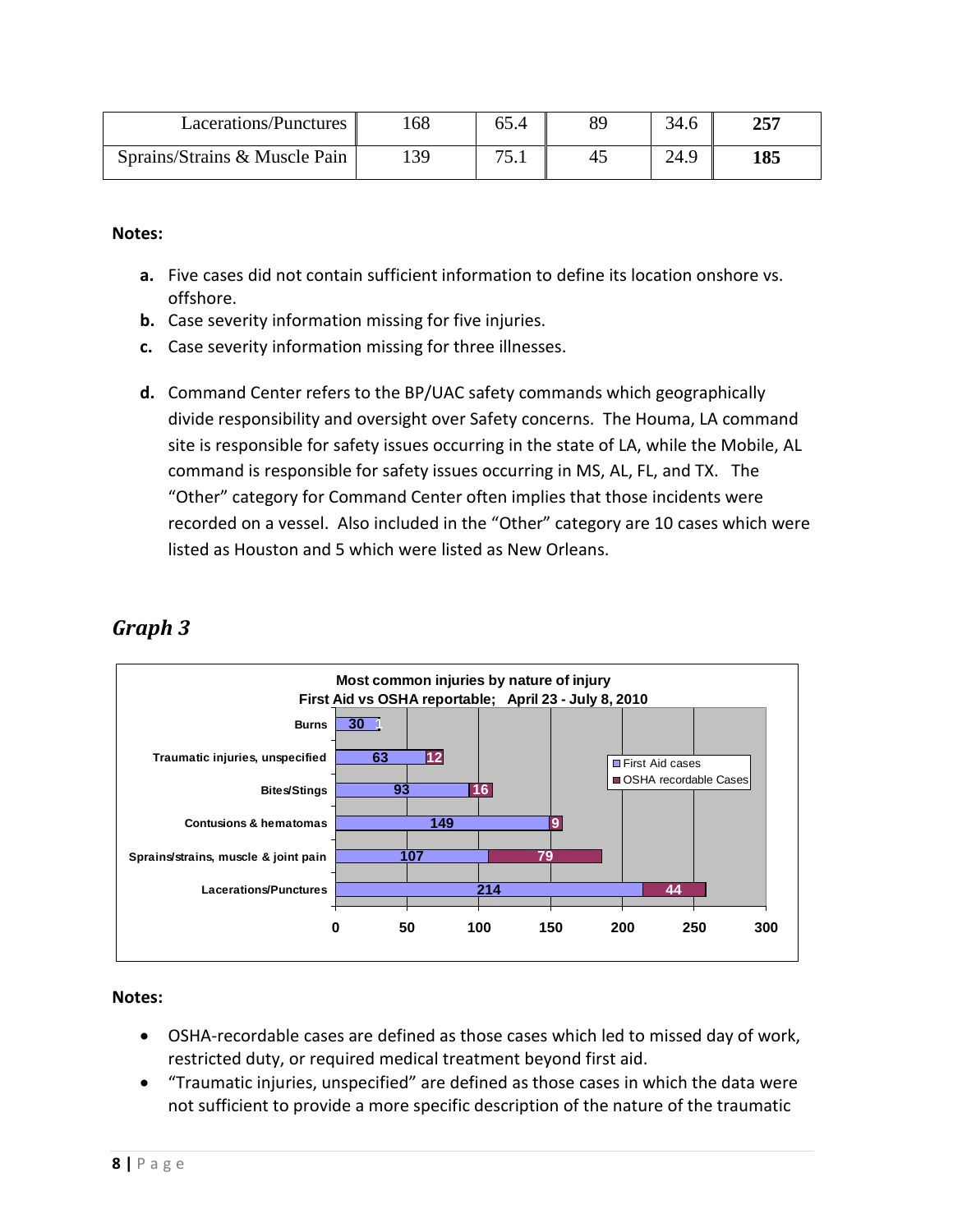| Lacerations/Punctures         | 68 | 65.4   | 34.6 | חבר |
|-------------------------------|----|--------|------|-----|
| Sprains/Strains & Muscle Pain | 39 | $\tau$ | 24.9 | 185 |

#### **Notes:**

- **a.** Five cases did not contain sufficient information to define its location onshore vs. offshore.
- **b.** Case severity information missing for five injuries.
- **c.** Case severity information missing for three illnesses.
- **d.** Command Center refers to the BP/UAC safety commands which geographically divide responsibility and oversight over Safety concerns. The Houma, LA command site is responsible for safety issues occurring in the state of LA, while the Mobile, AL command is responsible for safety issues occurring in MS, AL, FL, and TX. The "Other" category for Command Center often implies that those incidents were recorded on a vessel. Also included in the "Other" category are 10 cases which were listed as Houston and 5 which were listed as New Orleans.



## <span id="page-7-0"></span>*Graph 3*

- OSHA-recordable cases are defined as those cases which led to missed day of work, restricted duty, or required medical treatment beyond first aid.
- "Traumatic injuries, unspecified" are defined as those cases in which the data were not sufficient to provide a more specific description of the nature of the traumatic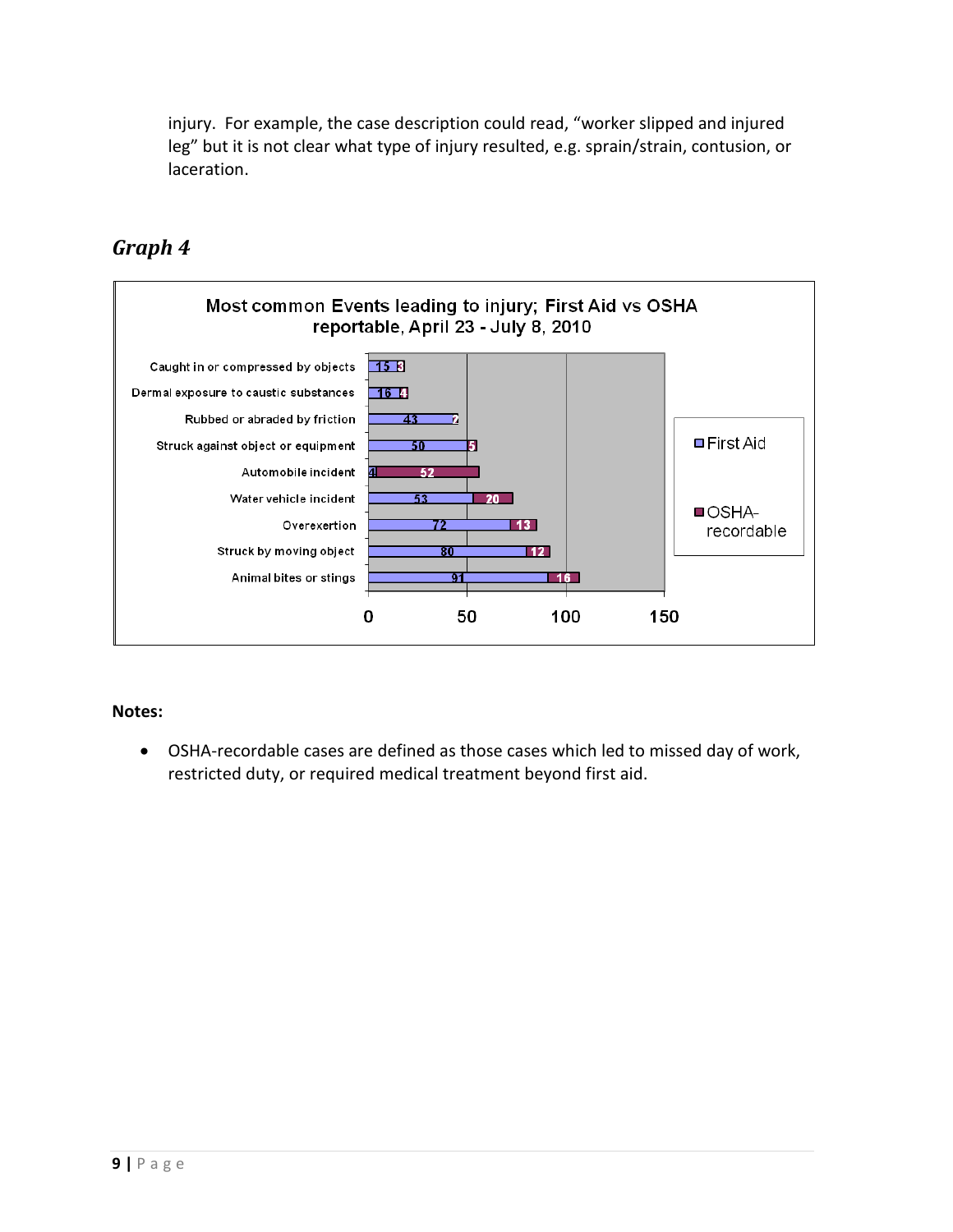injury. For example, the case description could read, "worker slipped and injured leg" but it is not clear what type of injury resulted, e.g. sprain/strain, contusion, or laceration.

## <span id="page-8-0"></span>*Graph 4*



## **Notes:**

• OSHA-recordable cases are defined as those cases which led to missed day of work, restricted duty, or required medical treatment beyond first aid.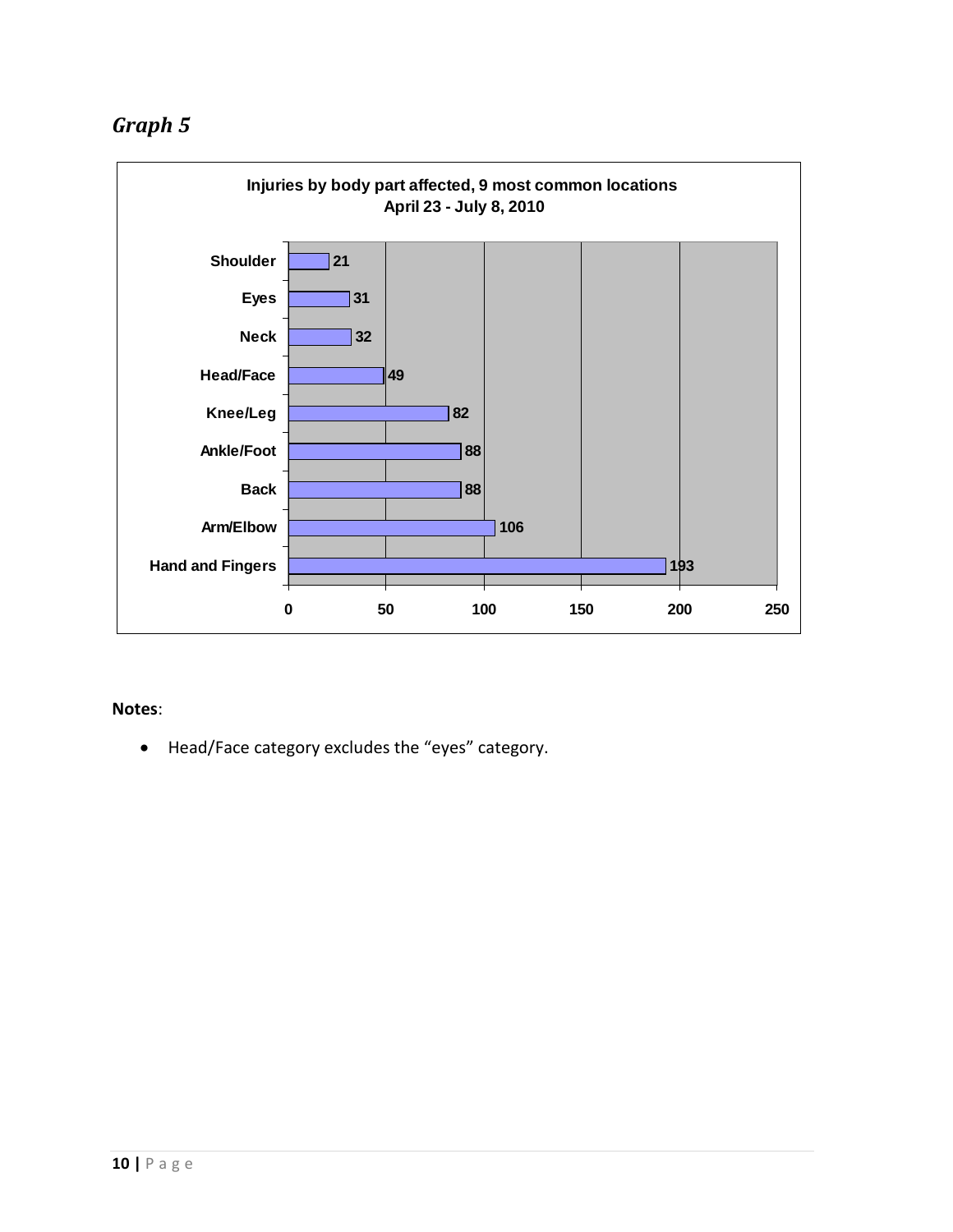<span id="page-9-0"></span>

#### **Notes**:

• Head/Face category excludes the "eyes" category.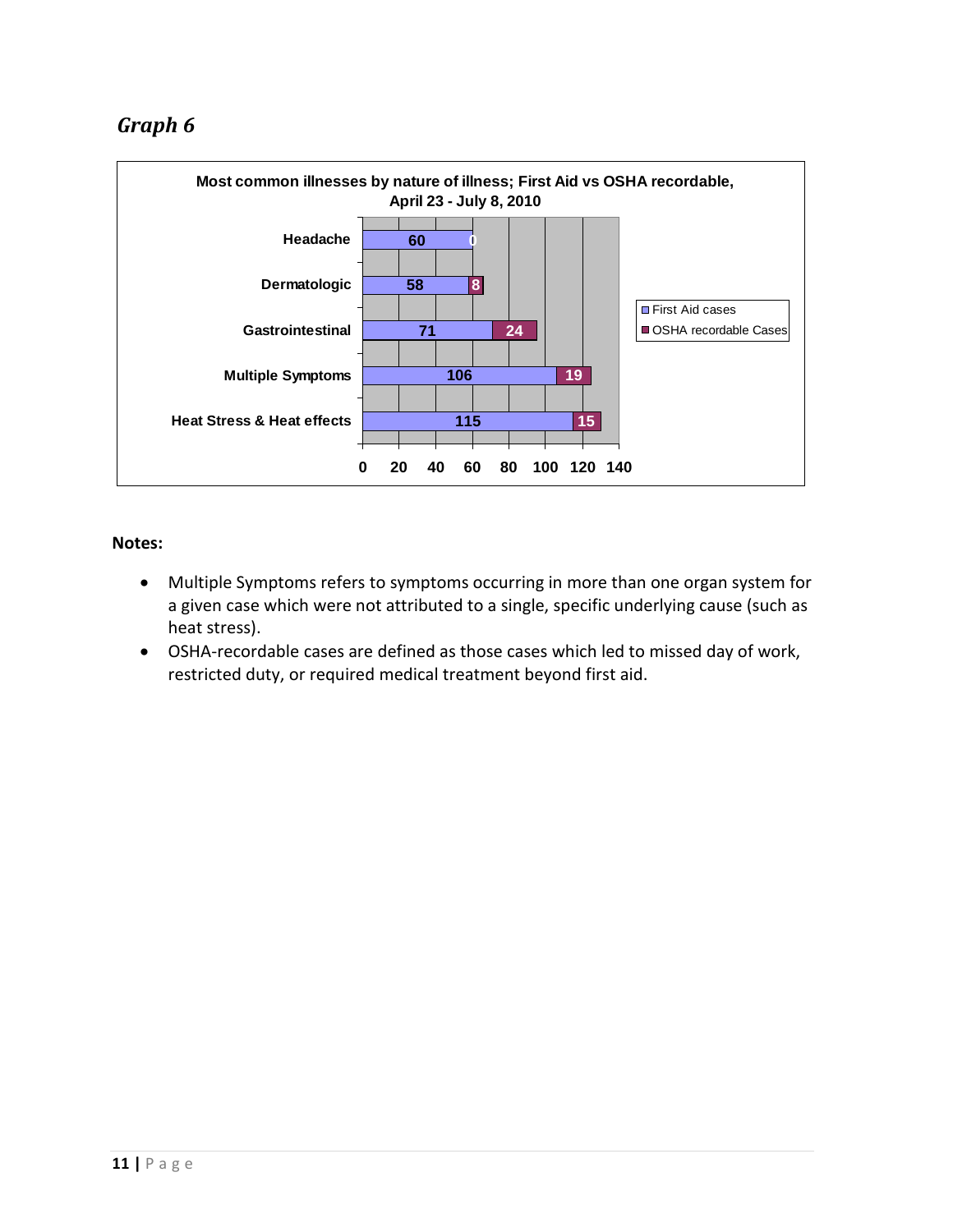## <span id="page-10-0"></span>*Graph 6*



- Multiple Symptoms refers to symptoms occurring in more than one organ system for a given case which were not attributed to a single, specific underlying cause (such as heat stress).
- OSHA-recordable cases are defined as those cases which led to missed day of work, restricted duty, or required medical treatment beyond first aid.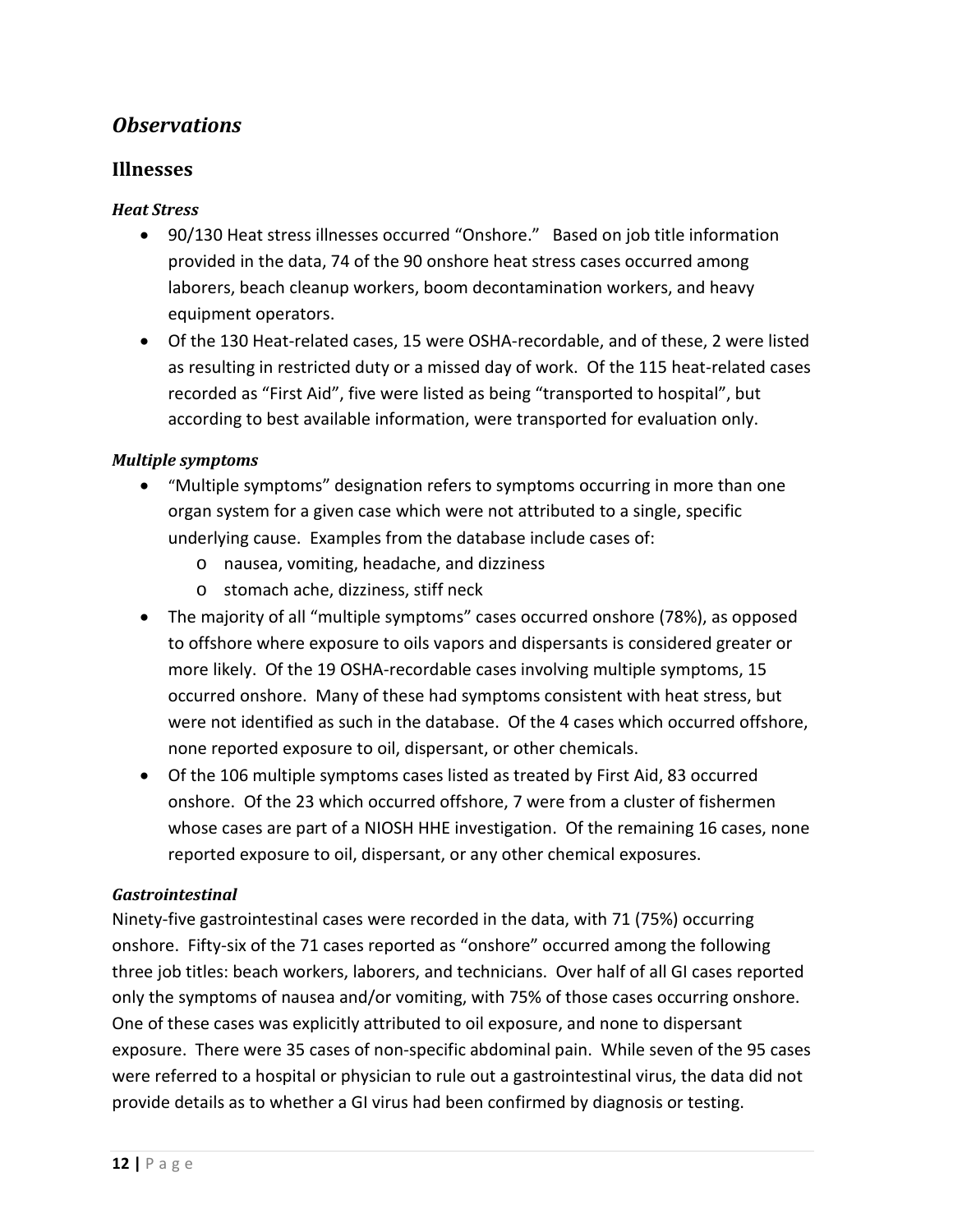## <span id="page-11-0"></span>*Observations*

## <span id="page-11-1"></span>**Illnesses**

#### *Heat Stress*

- 90/130 Heat stress illnesses occurred "Onshore." Based on job title information provided in the data, 74 of the 90 onshore heat stress cases occurred among laborers, beach cleanup workers, boom decontamination workers, and heavy equipment operators.
- Of the 130 Heat-related cases, 15 were OSHA-recordable, and of these, 2 were listed as resulting in restricted duty or a missed day of work. Of the 115 heat-related cases recorded as "First Aid", five were listed as being "transported to hospital", but according to best available information, were transported for evaluation only.

#### *Multiple symptoms*

- "Multiple symptoms" designation refers to symptoms occurring in more than one organ system for a given case which were not attributed to a single, specific underlying cause. Examples from the database include cases of:
	- o nausea, vomiting, headache, and dizziness
	- o stomach ache, dizziness, stiff neck
- The majority of all "multiple symptoms" cases occurred onshore (78%), as opposed to offshore where exposure to oils vapors and dispersants is considered greater or more likely. Of the 19 OSHA-recordable cases involving multiple symptoms, 15 occurred onshore. Many of these had symptoms consistent with heat stress, but were not identified as such in the database. Of the 4 cases which occurred offshore, none reported exposure to oil, dispersant, or other chemicals.
- Of the 106 multiple symptoms cases listed as treated by First Aid, 83 occurred onshore. Of the 23 which occurred offshore, 7 were from a cluster of fishermen whose cases are part of a NIOSH HHE investigation. Of the remaining 16 cases, none reported exposure to oil, dispersant, or any other chemical exposures.

#### *Gastrointestinal*

Ninety-five gastrointestinal cases were recorded in the data, with 71 (75%) occurring onshore. Fifty-six of the 71 cases reported as "onshore" occurred among the following three job titles: beach workers, laborers, and technicians. Over half of all GI cases reported only the symptoms of nausea and/or vomiting, with 75% of those cases occurring onshore. One of these cases was explicitly attributed to oil exposure, and none to dispersant exposure. There were 35 cases of non-specific abdominal pain. While seven of the 95 cases were referred to a hospital or physician to rule out a gastrointestinal virus, the data did not provide details as to whether a GI virus had been confirmed by diagnosis or testing.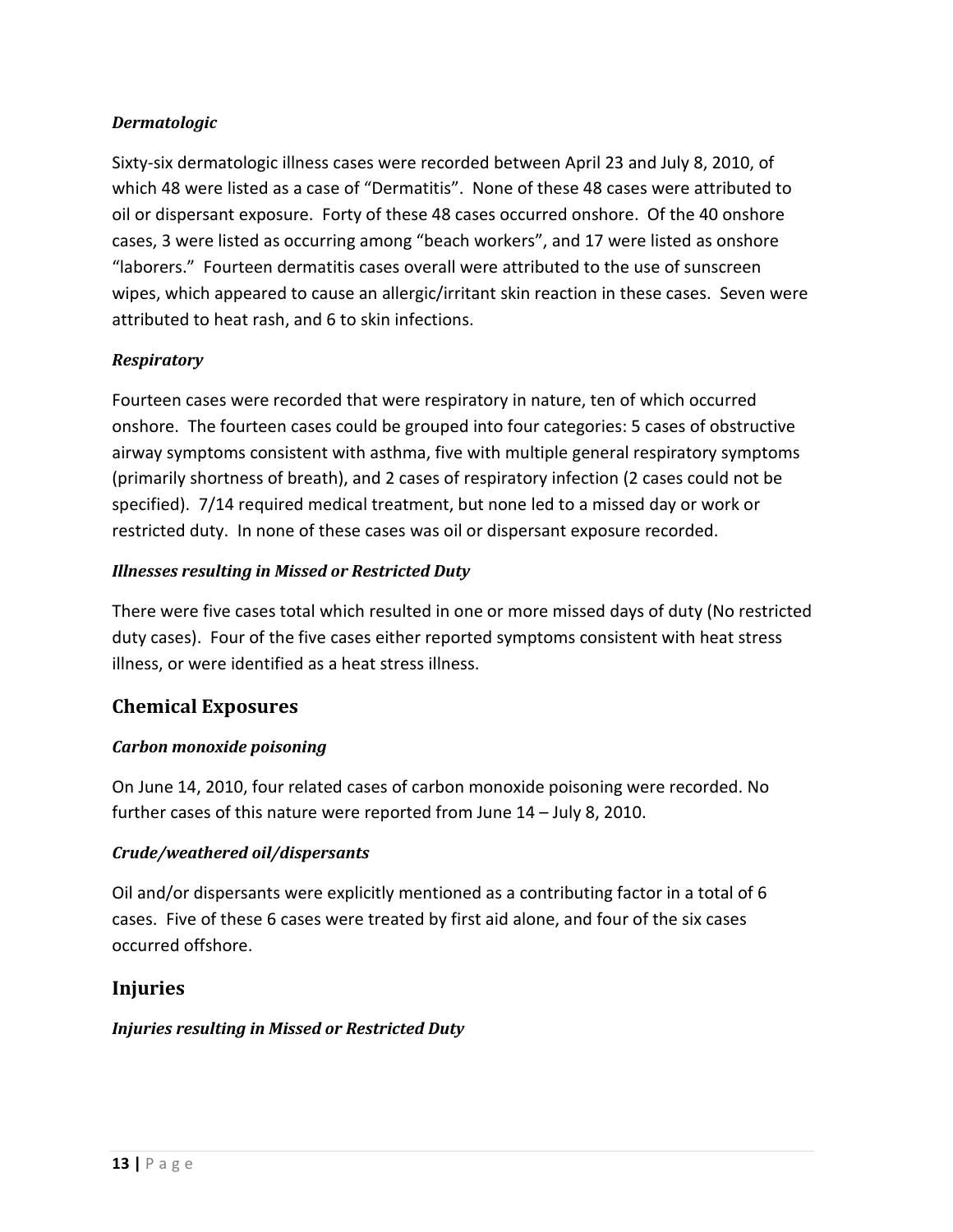## *Dermatologic*

Sixty-six dermatologic illness cases were recorded between April 23 and July 8, 2010, of which 48 were listed as a case of "Dermatitis". None of these 48 cases were attributed to oil or dispersant exposure. Forty of these 48 cases occurred onshore. Of the 40 onshore cases, 3 were listed as occurring among "beach workers", and 17 were listed as onshore "laborers." Fourteen dermatitis cases overall were attributed to the use of sunscreen wipes, which appeared to cause an allergic/irritant skin reaction in these cases. Seven were attributed to heat rash, and 6 to skin infections.

## *Respiratory*

Fourteen cases were recorded that were respiratory in nature, ten of which occurred onshore. The fourteen cases could be grouped into four categories: 5 cases of obstructive airway symptoms consistent with asthma, five with multiple general respiratory symptoms (primarily shortness of breath), and 2 cases of respiratory infection (2 cases could not be specified). 7/14 required medical treatment, but none led to a missed day or work or restricted duty. In none of these cases was oil or dispersant exposure recorded.

## *Illnesses resulting in Missed or Restricted Duty*

There were five cases total which resulted in one or more missed days of duty (No restricted duty cases). Four of the five cases either reported symptoms consistent with heat stress illness, or were identified as a heat stress illness.

## <span id="page-12-0"></span>**Chemical Exposures**

## *Carbon monoxide poisoning*

On June 14, 2010, four related cases of carbon monoxide poisoning were recorded. No further cases of this nature were reported from June 14 – July 8, 2010.

## *Crude/weathered oil/dispersants*

Oil and/or dispersants were explicitly mentioned as a contributing factor in a total of 6 cases. Five of these 6 cases were treated by first aid alone, and four of the six cases occurred offshore.

## <span id="page-12-1"></span>**Injuries**

## *Injuries resulting in Missed or Restricted Duty*